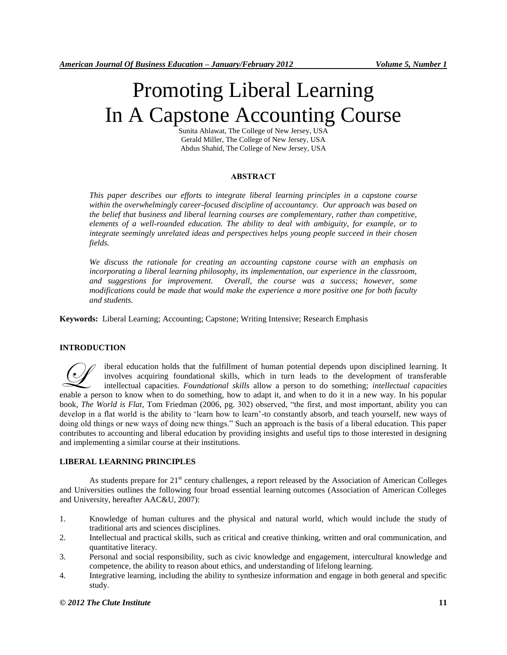# Promoting Liberal Learning In A Capstone Accounting Course

Sunita Ahlawat, The College of New Jersey, USA Gerald Miller, The College of New Jersey, USA Abdus Shahid, The College of New Jersey, USA

## **ABSTRACT**

*This paper describes our efforts to integrate liberal learning principles in a capstone course within the overwhelmingly career-focused discipline of accountancy. Our approach was based on the belief that business and liberal learning courses are complementary, rather than competitive, elements of a well-rounded education. The ability to deal with ambiguity, for example, or to integrate seemingly unrelated ideas and perspectives helps young people succeed in their chosen fields.*

*We discuss the rationale for creating an accounting capstone course with an emphasis on incorporating a liberal learning philosophy, its implementation, our experience in the classroom, and suggestions for improvement. Overall, the course was a success; however, some modifications could be made that would make the experience a more positive one for both faculty and students.*

**Keywords:** Liberal Learning; Accounting; Capstone; Writing Intensive; Research Emphasis

# **INTRODUCTION**

iberal education holds that the fulfillment of human potential depends upon disciplined learning. It involves acquiring foundational skills, which in turn leads to the development of transferable intellectual capacities. *Foundational skills* allow a person to do something; *intellectual capacities* enable a person to know when to do something, how to adapt it, and when to do it in a new way. In his popular applied a person to know when to do something, how to adapt it, and when to do it in a new way. In his popular book, *The World is Flat*, Tom Friedman (2006, pg. 302) observed, "the first, and most important, ability you can develop in a flat world is the ability to 'learn how to learn'-to constantly absorb, and teach yourself, new ways of doing old things or new ways of doing new things." Such an approach is the basis of a liberal education. This paper contributes to accounting and liberal education by providing insights and useful tips to those interested in designing and implementing a similar course at their institutions.

# **LIBERAL LEARNING PRINCIPLES**

As students prepare for  $21<sup>st</sup>$  century challenges, a report released by the Association of American Colleges and Universities outlines the following four broad essential learning outcomes (Association of American Colleges and University, hereafter AAC&U, 2007):

- 1. Knowledge of human cultures and the physical and natural world, which would include the study of traditional arts and sciences disciplines.
- 2. Intellectual and practical skills, such as critical and creative thinking, written and oral communication, and quantitative literacy.
- 3. Personal and social responsibility, such as civic knowledge and engagement, intercultural knowledge and competence, the ability to reason about ethics, and understanding of lifelong learning.
- 4. Integrative learning, including the ability to synthesize information and engage in both general and specific study.

## *© 2012 The Clute Institute* **11**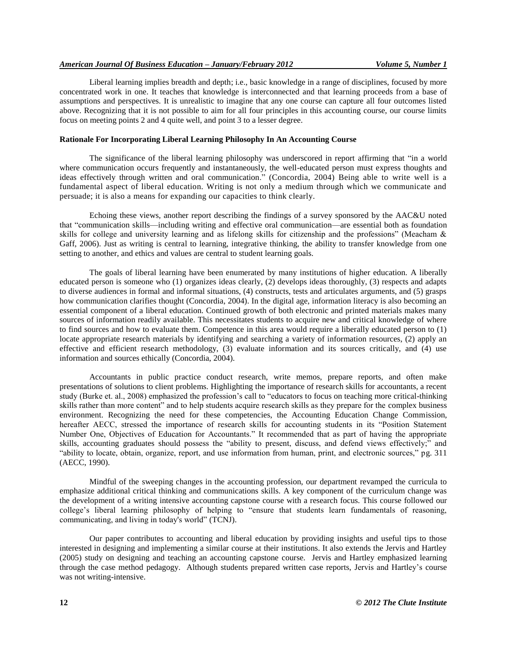Liberal learning implies breadth and depth; i.e., basic knowledge in a range of disciplines, focused by more concentrated work in one. It teaches that knowledge is interconnected and that learning proceeds from a base of assumptions and perspectives. It is unrealistic to imagine that any one course can capture all four outcomes listed above. Recognizing that it is not possible to aim for all four principles in this accounting course, our course limits focus on meeting points 2 and 4 quite well, and point 3 to a lesser degree.

## **Rationale For Incorporating Liberal Learning Philosophy In An Accounting Course**

The significance of the liberal learning philosophy was underscored in report affirming that "in a world where communication occurs frequently and instantaneously, the well-educated person must express thoughts and ideas effectively through written and oral communication." (Concordia, 2004) Being able to write well is a fundamental aspect of liberal education. Writing is not only a medium through which we communicate and persuade; it is also a means for expanding our capacities to think clearly.

Echoing these views, another report describing the findings of a survey sponsored by the AAC&U noted that "communication skills—including writing and effective oral communication—are essential both as foundation skills for college and university learning and as lifelong skills for citizenship and the professions" (Meacham  $\&$ Gaff, 2006). Just as writing is central to learning, integrative thinking, the ability to transfer knowledge from one setting to another, and ethics and values are central to student learning goals.

The goals of liberal learning have been enumerated by many institutions of higher education. A liberally educated person is someone who (1) organizes ideas clearly, (2) develops ideas thoroughly, (3) respects and adapts to diverse audiences in formal and informal situations, (4) constructs, tests and articulates arguments, and (5) grasps how communication clarifies thought (Concordia, 2004). In the digital age, information literacy is also becoming an essential component of a liberal education. Continued growth of both electronic and printed materials makes many sources of information readily available. This necessitates students to acquire new and critical knowledge of where to find sources and how to evaluate them. Competence in this area would require a liberally educated person to (1) locate appropriate research materials by identifying and searching a variety of information resources, (2) apply an effective and efficient research methodology, (3) evaluate information and its sources critically, and (4) use information and sources ethically (Concordia, 2004).

Accountants in public practice conduct research, write memos, prepare reports, and often make presentations of solutions to client problems. Highlighting the importance of research skills for accountants, a recent study (Burke et. al., 2008) emphasized the profession's call to "educators to focus on teaching more critical-thinking skills rather than more content" and to help students acquire research skills as they prepare for the complex business environment. Recognizing the need for these competencies, the Accounting Education Change Commission, hereafter AECC, stressed the importance of research skills for accounting students in its "Position Statement Number One, Objectives of Education for Accountants." It recommended that as part of having the appropriate skills, accounting graduates should possess the "ability to present, discuss, and defend views effectively;" and "ability to locate, obtain, organize, report, and use information from human, print, and electronic sources," pg. 311 (AECC, 1990).

Mindful of the sweeping changes in the accounting profession, our department revamped the curricula to emphasize additional critical thinking and communications skills. A key component of the curriculum change was the development of a writing intensive accounting capstone course with a research focus. This course followed our college's liberal learning philosophy of helping to "ensure that students learn fundamentals of reasoning, communicating, and living in today's world" (TCNJ).

Our paper contributes to accounting and liberal education by providing insights and useful tips to those interested in designing and implementing a similar course at their institutions. It also extends the Jervis and Hartley (2005) study on designing and teaching an accounting capstone course. Jervis and Hartley emphasized learning through the case method pedagogy. Although students prepared written case reports, Jervis and Hartley's course was not writing-intensive.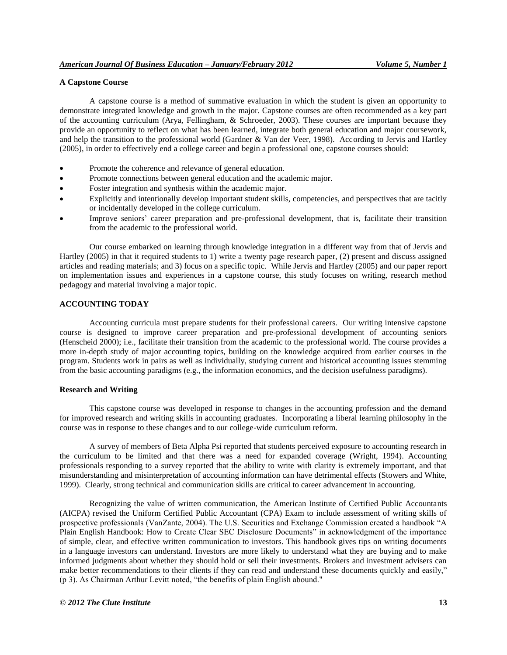## **A Capstone Course**

A capstone course is a method of summative evaluation in which the student is given an opportunity to demonstrate integrated knowledge and growth in the major. Capstone courses are often recommended as a key part of the accounting curriculum (Arya, Fellingham, & Schroeder, 2003). These courses are important because they provide an opportunity to reflect on what has been learned, integrate both general education and major coursework, and help the transition to the professional world (Gardner & Van der Veer, 1998). According to Jervis and Hartley (2005), in order to effectively end a college career and begin a professional one, capstone courses should:

- Promote the coherence and relevance of general education.
- Promote connections between general education and the academic major.
- Foster integration and synthesis within the academic major.
- Explicitly and intentionally develop important student skills, competencies, and perspectives that are tacitly or incidentally developed in the college curriculum.
- Improve seniors' career preparation and pre-professional development, that is, facilitate their transition from the academic to the professional world.

Our course embarked on learning through knowledge integration in a different way from that of Jervis and Hartley (2005) in that it required students to 1) write a twenty page research paper, (2) present and discuss assigned articles and reading materials; and 3) focus on a specific topic. While Jervis and Hartley (2005) and our paper report on implementation issues and experiences in a capstone course, this study focuses on writing, research method pedagogy and material involving a major topic.

## **ACCOUNTING TODAY**

Accounting curricula must prepare students for their professional careers. Our writing intensive capstone course is designed to improve career preparation and pre-professional development of accounting seniors (Henscheid 2000); i.e., facilitate their transition from the academic to the professional world. The course provides a more in-depth study of major accounting topics, building on the knowledge acquired from earlier courses in the program. Students work in pairs as well as individually, studying current and historical accounting issues stemming from the basic accounting paradigms (e.g., the information economics, and the decision usefulness paradigms).

#### **Research and Writing**

This capstone course was developed in response to changes in the accounting profession and the demand for improved research and writing skills in accounting graduates. Incorporating a liberal learning philosophy in the course was in response to these changes and to our college-wide curriculum reform.

A survey of members of Beta Alpha Psi reported that students perceived exposure to accounting research in the curriculum to be limited and that there was a need for expanded coverage (Wright, 1994). Accounting professionals responding to a survey reported that the ability to write with clarity is extremely important, and that misunderstanding and misinterpretation of accounting information can have detrimental effects (Stowers and White, 1999). Clearly, strong technical and communication skills are critical to career advancement in accounting.

Recognizing the value of written communication, the American Institute of Certified Public Accountants (AICPA) revised the Uniform Certified Public Accountant (CPA) Exam to include assessment of writing skills of prospective professionals (VanZante, 2004). The U.S. Securities and Exchange Commission created a handbook "A Plain English Handbook: How to Create Clear SEC Disclosure Documents" in acknowledgment of the importance of simple, clear, and effective written communication to investors. This handbook gives tips on writing documents in a language investors can understand. Investors are more likely to understand what they are buying and to make informed judgments about whether they should hold or sell their investments. Brokers and investment advisers can make better recommendations to their clients if they can read and understand these documents quickly and easily,"  $(p 3)$ . As Chairman Arthur Levitt noted, "the benefits of plain English abound."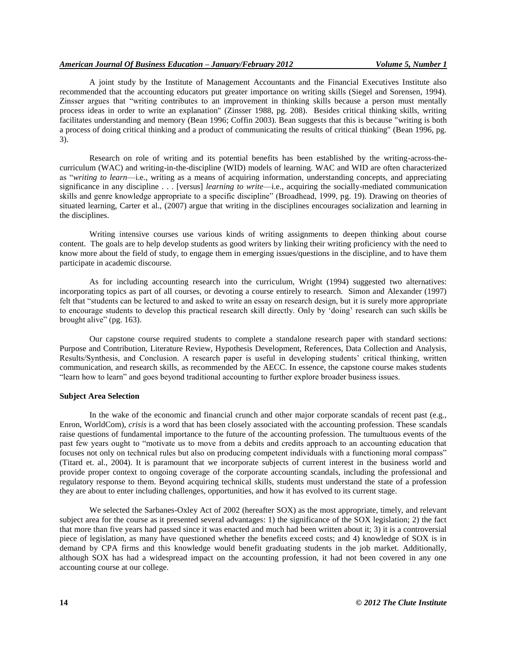A joint study by the Institute of Management Accountants and the Financial Executives Institute also recommended that the accounting educators put greater importance on writing skills (Siegel and Sorensen, 1994). Zinsser argues that "writing contributes to an improvement in thinking skills because a person must mentally process ideas in order to write an explanation" (Zinsser 1988, pg. 208). Besides critical thinking skills, writing facilitates understanding and memory (Bean 1996; Coffin 2003). Bean suggests that this is because "writing is both a process of doing critical thinking and a product of communicating the results of critical thinking" (Bean 1996, pg. 3).

Research on role of writing and its potential benefits has been established by the writing-across-thecurriculum (WAC) and writing-in-the-discipline (WID) models of learning. WAC and WID are often characterized as "writing to learn—i.e., writing as a means of acquiring information, understanding concepts, and appreciating significance in any discipline . . . [versus] *learning to write*—i.e., acquiring the socially-mediated communication skills and genre knowledge appropriate to a specific discipline" (Broadhead, 1999, pg. 19). Drawing on theories of situated learning, Carter et al., (2007) argue that writing in the disciplines encourages socialization and learning in the disciplines.

Writing intensive courses use various kinds of writing assignments to deepen thinking about course content. The goals are to help develop students as good writers by linking their writing proficiency with the need to know more about the field of study, to engage them in emerging issues/questions in the discipline, and to have them participate in academic discourse.

As for including accounting research into the curriculum, Wright (1994) suggested two alternatives: incorporating topics as part of all courses, or devoting a course entirely to research. Simon and Alexander (1997) felt that "students can be lectured to and asked to write an essay on research design, but it is surely more appropriate to encourage students to develop this practical research skill directly. Only by ‗doing' research can such skills be brought alive" (pg.  $163$ ).

Our capstone course required students to complete a standalone research paper with standard sections: Purpose and Contribution, Literature Review, Hypothesis Development, References, Data Collection and Analysis, Results/Synthesis, and Conclusion. A research paper is useful in developing students' critical thinking, written communication, and research skills, as recommended by the AECC. In essence, the capstone course makes students "learn how to learn" and goes beyond traditional accounting to further explore broader business issues.

## **Subject Area Selection**

In the wake of the economic and financial crunch and other major corporate scandals of recent past (e.g., Enron, WorldCom), *crisis* is a word that has been closely associated with the accounting profession. These scandals raise questions of fundamental importance to the future of the accounting profession. The tumultuous events of the past few years ought to "motivate us to move from a debits and credits approach to an accounting education that focuses not only on technical rules but also on producing competent individuals with a functioning moral compass" (Titard et. al., 2004). It is paramount that we incorporate subjects of current interest in the business world and provide proper context to ongoing coverage of the corporate accounting scandals, including the professional and regulatory response to them. Beyond acquiring technical skills, students must understand the state of a profession they are about to enter including challenges, opportunities, and how it has evolved to its current stage.

We selected the Sarbanes-Oxley Act of 2002 (hereafter SOX) as the most appropriate, timely, and relevant subject area for the course as it presented several advantages: 1) the significance of the SOX legislation; 2) the fact that more than five years had passed since it was enacted and much had been written about it; 3) it is a controversial piece of legislation, as many have questioned whether the benefits exceed costs; and 4) knowledge of SOX is in demand by CPA firms and this knowledge would benefit graduating students in the job market. Additionally, although SOX has had a widespread impact on the accounting profession, it had not been covered in any one accounting course at our college.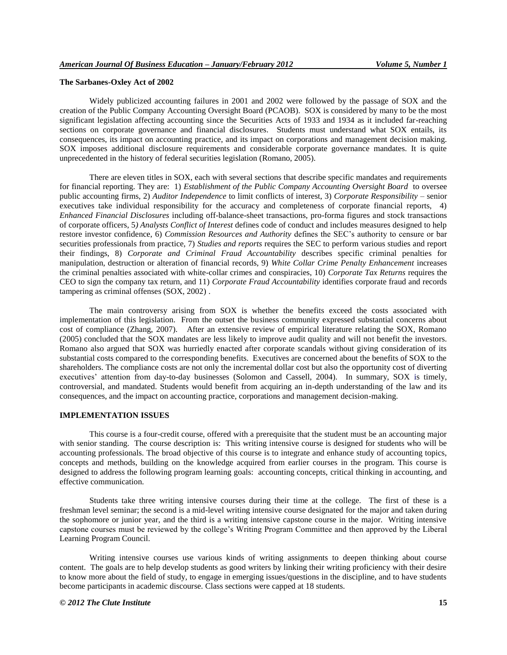#### **The Sarbanes-Oxley Act of 2002**

Widely publicized accounting failures in 2001 and 2002 were followed by the passage of SOX and the creation of the Public Company Accounting Oversight Board (PCAOB). SOX is considered by many to be the most significant legislation affecting accounting since the Securities Acts of 1933 and 1934 as it included far-reaching sections on corporate governance and financial disclosures. Students must understand what SOX entails, its consequences, its impact on accounting practice, and its impact on corporations and management decision making. SOX imposes additional disclosure requirements and considerable corporate governance mandates. It is quite unprecedented in the history of federal securities legislation (Romano, 2005).

There are eleven titles in SOX, each with several sections that describe specific mandates and requirements for financial reporting. They are: 1) *Establishment of the Public Company Accounting Oversight Board* to oversee public accounting firms, 2) *Auditor Independence* to limit conflicts of interest, 3) *Corporate Responsibility* – senior executives take individual responsibility for the accuracy and completeness of corporate financial reports, 4) *Enhanced Financial Disclosures* including off-balance-sheet transactions, pro-forma figures and stock transactions of corporate officers, 5*) Analysts Conflict of Interest* defines code of conduct and includes measures designed to help restore investor confidence, 6) *Commission Resources and Authority* defines the SEC's authority to censure or bar securities professionals from practice, 7) *Studies and reports* requires the SEC to perform various studies and report their findings, 8) *Corporate and Criminal Fraud Accountability* describes specific criminal penalties for manipulation, destruction or alteration of financial records, 9) *White Collar Crime Penalty Enhancement* increases the criminal penalties associated with white-collar crimes and conspiracies, 10) *Corporate Tax Returns* requires the CEO to sign the company tax return, and 11) *Corporate Fraud Accountability* identifies corporate fraud and records tampering as criminal offenses (SOX, 2002) .

The main controversy arising from SOX is whether the benefits exceed the costs associated with implementation of this legislation. From the outset the business community expressed substantial concerns about cost of compliance (Zhang, 2007). After an extensive review of empirical literature relating the SOX, Romano (2005) concluded that the SOX mandates are less likely to improve audit quality and will not benefit the investors. Romano also argued that SOX was hurriedly enacted after corporate scandals without giving consideration of its substantial costs compared to the corresponding benefits. Executives are concerned about the benefits of SOX to the shareholders. The compliance costs are not only the incremental dollar cost but also the opportunity cost of diverting executives' attention from day-to-day businesses (Solomon and Cassell, 2004). In summary, SOX is timely, controversial, and mandated. Students would benefit from acquiring an in-depth understanding of the law and its consequences, and the impact on accounting practice, corporations and management decision-making.

## **IMPLEMENTATION ISSUES**

This course is a four-credit course, offered with a prerequisite that the student must be an accounting major with senior standing. The course description is: This writing intensive course is designed for students who will be accounting professionals. The broad objective of this course is to integrate and enhance study of accounting topics, concepts and methods, building on the knowledge acquired from earlier courses in the program. This course is designed to address the following program learning goals: accounting concepts, critical thinking in accounting, and effective communication.

Students take three writing intensive courses during their time at the college. The first of these is a freshman level seminar; the second is a mid-level writing intensive course designated for the major and taken during the sophomore or junior year, and the third is a writing intensive capstone course in the major. Writing intensive capstone courses must be reviewed by the college's Writing Program Committee and then approved by the Liberal Learning Program Council.

Writing intensive courses use various kinds of writing assignments to deepen thinking about course content. The goals are to help develop students as good writers by linking their writing proficiency with their desire to know more about the field of study, to engage in emerging issues/questions in the discipline, and to have students become participants in academic discourse. Class sections were capped at 18 students.

#### *© 2012 The Clute Institute* **15**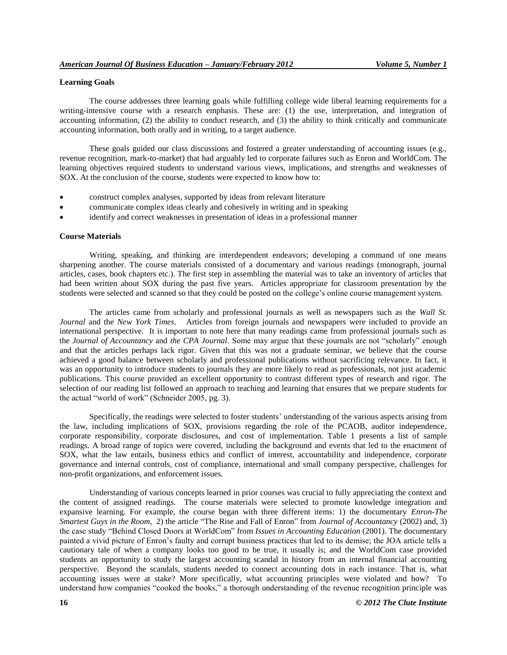# **Learning Goals**

The course addresses three learning goals while fulfilling college wide liberal learning requirements for a writing-intensive course with a research emphasis. These are: (1) the use, interpretation, and integration of accounting information, (2) the ability to conduct research, and (3) the ability to think critically and communicate accounting information, both orally and in writing, to a target audience.

These goals guided our class discussions and fostered a greater understanding of accounting issues (e.g., revenue recognition, mark-to-market) that had arguably led to corporate failures such as Enron and WorldCom. The learning objectives required students to understand various views, implications, and strengths and weaknesses of SOX. At the conclusion of the course, students were expected to know how to:

- construct complex analyses, supported by ideas from relevant literature
- communicate complex ideas clearly and cohesively in writing and in speaking
- identify and correct weaknesses in presentation of ideas in a professional manner

## **Course Materials**

Writing, speaking, and thinking are interdependent endeavors; developing a command of one means sharpening another. The course materials consisted of a documentary and various readings (monograph, journal articles, cases, book chapters etc.). The first step in assembling the material was to take an inventory of articles that had been written about SOX during the past five years. Articles appropriate for classroom presentation by the students were selected and scanned so that they could be posted on the college's online course management system.

The articles came from scholarly and professional journals as well as newspapers such as the *Wall St. Journal* and the *New York Times*. Articles from foreign journals and newspapers were included to provide an international perspective. It is important to note here that many readings came from professional journals such as the *Journal of Accountancy* and *the CPA Journal*. Some may argue that these journals are not "scholarly" enough and that the articles perhaps lack rigor. Given that this was not a graduate seminar, we believe that the course achieved a good balance between scholarly and professional publications without sacrificing relevance. In fact, it was an opportunity to introduce students to journals they are more likely to read as professionals, not just academic publications. This course provided an excellent opportunity to contrast different types of research and rigor. The selection of our reading list followed an approach to teaching and learning that ensures that we prepare students for the actual "world of work" (Schneider 2005, pg. 3).

Specifically, the readings were selected to foster students' understanding of the various aspects arising from the law, including implications of SOX, provisions regarding the role of the PCAOB, auditor independence, corporate responsibility, corporate disclosures, and cost of implementation. Table 1 presents a list of sample readings. A broad range of topics were covered, including the background and events that led to the enactment of SOX, what the law entails, business ethics and conflict of interest, accountability and independence, corporate governance and internal controls, cost of compliance, international and small company perspective, challenges for non-profit organizations, and enforcement issues.

Understanding of various concepts learned in prior courses was crucial to fully appreciating the context and the content of assigned readings. The course materials were selected to promote knowledge integration and expansive learning. For example, the course began with three different items: 1) the documentary *Enron-The Smartest Guys in the Room*, 2) the article "The Rise and Fall of Enron" from *Journal of Accountancy* (2002) and, 3) the case study "Behind Closed Doors at WorldCom" from *Issues in Accounting Education* (2001). The documentary painted a vivid picture of Enron's faulty and corrupt business practices that led to its demise; the JOA article tells a cautionary tale of when a company looks too good to be true, it usually is; and the WorldCom case provided students an opportunity to study the largest accounting scandal in history from an internal financial accounting perspective. Beyond the scandals, students needed to connect accounting dots in each instance. That is, what accounting issues were at stake? More specifically, what accounting principles were violated and how? To understand how companies "cooked the books," a thorough understanding of the revenue recognition principle was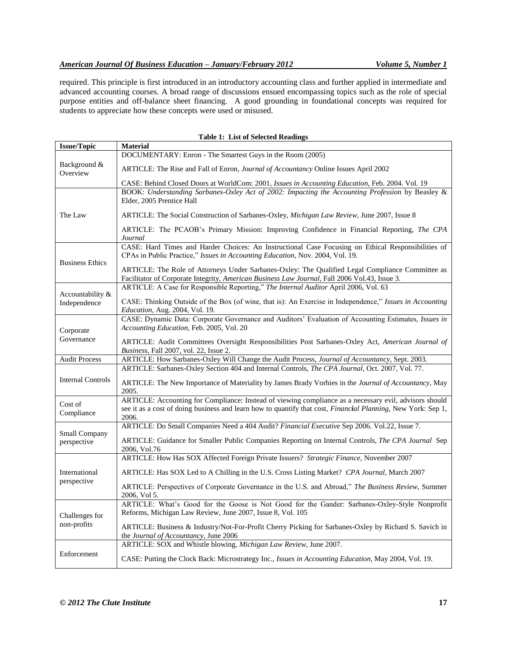# *American Journal Of Business Education – January/February 2012 Volume 5, Number 1*

required. This principle is first introduced in an introductory accounting class and further applied in intermediate and advanced accounting courses. A broad range of discussions ensued encompassing topics such as the role of special purpose entities and off-balance sheet financing. A good grounding in foundational concepts was required for students to appreciate how these concepts were used or misused.

| <b>Table 1: List of Selected Readings</b> |                                                                                                                                                                                                   |  |  |  |
|-------------------------------------------|---------------------------------------------------------------------------------------------------------------------------------------------------------------------------------------------------|--|--|--|
| <b>Issue/Topic</b>                        | <b>Material</b>                                                                                                                                                                                   |  |  |  |
|                                           | DOCUMENTARY: Enron - The Smartest Guys in the Room (2005)                                                                                                                                         |  |  |  |
| Background &<br>Overview                  | ARTICLE: The Rise and Fall of Enron, <i>Journal of Accountancy</i> Online Issues April 2002                                                                                                       |  |  |  |
|                                           | CASE: Behind Closed Doors at WorldCom: 2001, <i>Issues in Accounting Education</i> , Feb. 2004. Vol. 19                                                                                           |  |  |  |
|                                           | BOOK: Understanding Sarbanes-Oxley Act of 2002: Impacting the Accounting Profession by Beasley &<br>Elder, 2005 Prentice Hall                                                                     |  |  |  |
| The Law                                   | ARTICLE: The Social Construction of Sarbanes-Oxley, <i>Michigan Law Review</i> , June 2007, Issue 8                                                                                               |  |  |  |
|                                           | ARTICLE: The PCAOB's Primary Mission: Improving Confidence in Financial Reporting, The CPA<br>Journal                                                                                             |  |  |  |
| <b>Business Ethics</b>                    | CASE: Hard Times and Harder Choices: An Instructional Case Focusing on Ethical Responsibilities of<br>CPAs in Public Practice," Issues in Accounting Education, Nov. 2004, Vol. 19.               |  |  |  |
|                                           | ARTICLE: The Role of Attorneys Under Sarbanes-Oxley: The Qualified Legal Compliance Committee as<br>Facilitator of Corporate Integrity, American Business Law Journal, Fall 2006 Vol.43, Issue 3. |  |  |  |
|                                           | ARTICLE: A Case for Responsible Reporting," The Internal Auditor April 2006, Vol. 63                                                                                                              |  |  |  |
| Accountability &<br>Independence          | CASE: Thinking Outside of the Box (of wine, that is): An Exercise in Independence," Issues in Accounting<br>Education, Aug. 2004, Vol. 19.                                                        |  |  |  |
|                                           | CASE: Dynamic Data: Corporate Governance and Auditors' Evaluation of Accounting Estimates, Issues in                                                                                              |  |  |  |
| Corporate                                 | Accounting Education, Feb. 2005, Vol. 20                                                                                                                                                          |  |  |  |
| Governance                                | ARTICLE: Audit Committees Oversight Responsibilities Post Sarbanes-Oxley Act, American Journal of<br><i>Business</i> , Fall 2007, vol. 22, Issue 2.                                               |  |  |  |
| <b>Audit Process</b>                      | ARTICLE: How Sarbanes-Oxley Will Change the Audit Process, Journal of Accountancy, Sept. 2003.                                                                                                    |  |  |  |
|                                           | ARTICLE: Sarbanes-Oxley Section 404 and Internal Controls, The CPA Journal, Oct. 2007, Vol. 77.                                                                                                   |  |  |  |
| <b>Internal Controls</b>                  | ARTICLE: The New Importance of Materiality by James Brady Vorhies in the Journal of Accountancy, May<br>2005.                                                                                     |  |  |  |
| Cost of                                   | ARTICLE: Accounting for Compliance: Instead of viewing compliance as a necessary evil, advisors should                                                                                            |  |  |  |
| Compliance                                | see it as a cost of doing business and learn how to quantify that cost, <i>Financial Planning</i> , New York: Sep 1,<br>2006.                                                                     |  |  |  |
|                                           | ARTICLE: Do Small Companies Need a 404 Audit? Financial Executive Sep 2006. Vol.22, Issue 7.                                                                                                      |  |  |  |
| <b>Small Company</b><br>perspective       | ARTICLE: Guidance for Smaller Public Companies Reporting on Internal Controls, The CPA Journal Sep<br>2006, Vol.76                                                                                |  |  |  |
|                                           | ARTICLE: How Has SOX Affected Foreign Private Issuers? Strategic Finance, November 2007                                                                                                           |  |  |  |
| International                             | ARTICLE: Has SOX Led to A Chilling in the U.S. Cross Listing Market? CPA Journal, March 2007                                                                                                      |  |  |  |
| perspective                               | ARTICLE: Perspectives of Corporate Governance in the U.S. and Abroad," The Business Review, Summer<br>2006, Vol 5.                                                                                |  |  |  |
| Challenges for                            | ARTICLE: What's Good for the Goose is Not Good for the Gander: Sarbanes-Oxley-Style Nonprofit<br>Reforms, Michigan Law Review, June 2007, Issue 8, Vol. 105                                       |  |  |  |
| non-profits                               | ARTICLE: Business & Industry/Not-For-Profit Cherry Picking for Sarbanes-Oxley by Richard S. Savich in<br>the Journal of Accountancy, June 2006                                                    |  |  |  |
|                                           | ARTICLE: SOX and Whistle blowing, Michigan Law Review, June 2007.                                                                                                                                 |  |  |  |
| Enforcement                               | CASE: Putting the Clock Back: Microstrategy Inc., Issues in Accounting Education, May 2004, Vol. 19.                                                                                              |  |  |  |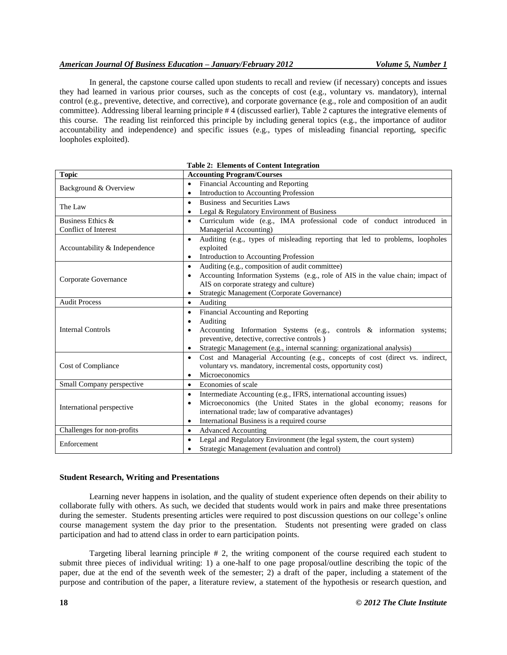# *American Journal Of Business Education – January/February 2012 Volume 5, Number 1*

In general, the capstone course called upon students to recall and review (if necessary) concepts and issues they had learned in various prior courses, such as the concepts of cost (e.g., voluntary vs. mandatory), internal control (e.g., preventive, detective, and corrective), and corporate governance (e.g., role and composition of an audit committee). Addressing liberal learning principle # 4 (discussed earlier), Table 2 captures the integrative elements of this course. The reading list reinforced this principle by including general topics (e.g., the importance of auditor accountability and independence) and specific issues (e.g., types of misleading financial reporting, specific loopholes exploited).

| <b>Topic</b>                  | rable 2. Elements of Content Integration<br><b>Accounting Program/Courses</b>                |
|-------------------------------|----------------------------------------------------------------------------------------------|
|                               | Financial Accounting and Reporting<br>$\bullet$                                              |
| Background & Overview         | Introduction to Accounting Profession<br>$\bullet$                                           |
|                               |                                                                                              |
| The Law                       | Business and Securities Laws<br>$\bullet$                                                    |
|                               | Legal & Regulatory Environment of Business<br>$\bullet$                                      |
| Business Ethics &             | Curriculum wide (e.g., IMA professional code of conduct introduced in<br>$\bullet$           |
| Conflict of Interest          | Managerial Accounting)                                                                       |
|                               | Auditing (e.g., types of misleading reporting that led to problems, loopholes<br>$\bullet$   |
| Accountability & Independence | exploited                                                                                    |
|                               | Introduction to Accounting Profession<br>$\bullet$                                           |
|                               | Auditing (e.g., composition of audit committee)<br>$\bullet$                                 |
| Corporate Governance          | Accounting Information Systems (e.g., role of AIS in the value chain; impact of<br>$\bullet$ |
|                               | AIS on corporate strategy and culture)                                                       |
|                               | Strategic Management (Corporate Governance)<br>$\bullet$                                     |
| <b>Audit Process</b>          | Auditing<br>$\bullet$                                                                        |
|                               | Financial Accounting and Reporting<br>$\bullet$                                              |
|                               | Auditing<br>$\bullet$                                                                        |
| <b>Internal Controls</b>      | Accounting Information Systems (e.g., controls & information systems;                        |
|                               | preventive, detective, corrective controls)                                                  |
|                               | Strategic Management (e.g., internal scanning: organizational analysis)<br>$\bullet$         |
|                               | Cost and Managerial Accounting (e.g., concepts of cost (direct vs. indirect,<br>$\bullet$    |
| Cost of Compliance            | voluntary vs. mandatory, incremental costs, opportunity cost)                                |
|                               | Microeconomics<br>$\bullet$                                                                  |
| Small Company perspective     | Economies of scale<br>$\bullet$                                                              |
|                               | Intermediate Accounting (e.g., IFRS, international accounting issues)<br>$\bullet$           |
|                               | Microeconomics (the United States in the global economy; reasons for<br>$\bullet$            |
| International perspective     | international trade; law of comparative advantages)                                          |
|                               | International Business is a required course<br>$\bullet$                                     |
| Challenges for non-profits    | <b>Advanced Accounting</b><br>$\bullet$                                                      |
|                               | Legal and Regulatory Environment (the legal system, the court system)<br>$\bullet$           |
| Enforcement                   | Strategic Management (evaluation and control)<br>$\bullet$                                   |

# **Table 2: Elements of Content Integration**

# **Student Research, Writing and Presentations**

Learning never happens in isolation, and the quality of student experience often depends on their ability to collaborate fully with others. As such, we decided that students would work in pairs and make three presentations during the semester. Students presenting articles were required to post discussion questions on our college's online course management system the day prior to the presentation. Students not presenting were graded on class participation and had to attend class in order to earn participation points.

Targeting liberal learning principle # 2, the writing component of the course required each student to submit three pieces of individual writing: 1) a one-half to one page proposal/outline describing the topic of the paper, due at the end of the seventh week of the semester; 2) a draft of the paper, including a statement of the purpose and contribution of the paper, a literature review, a statement of the hypothesis or research question, and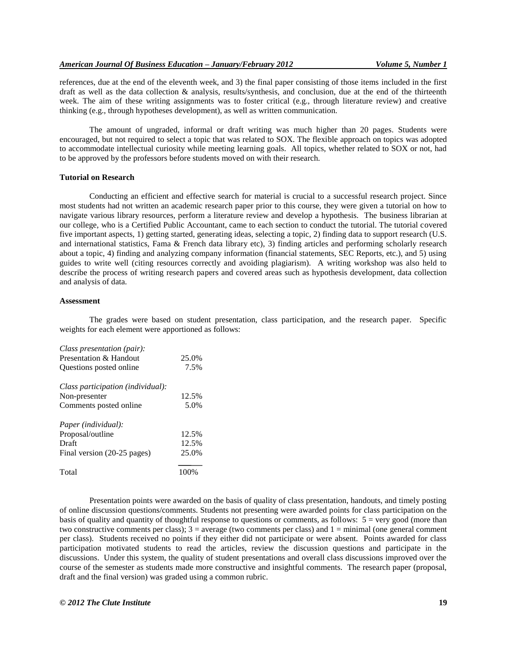references, due at the end of the eleventh week, and 3) the final paper consisting of those items included in the first draft as well as the data collection & analysis, results/synthesis, and conclusion, due at the end of the thirteenth week. The aim of these writing assignments was to foster critical (e.g., through literature review) and creative thinking (e.g., through hypotheses development), as well as written communication.

The amount of ungraded, informal or draft writing was much higher than 20 pages. Students were encouraged, but not required to select a topic that was related to SOX. The flexible approach on topics was adopted to accommodate intellectual curiosity while meeting learning goals. All topics, whether related to SOX or not, had to be approved by the professors before students moved on with their research.

## **Tutorial on Research**

Conducting an efficient and effective search for material is crucial to a successful research project. Since most students had not written an academic research paper prior to this course, they were given a tutorial on how to navigate various library resources, perform a literature review and develop a hypothesis. The business librarian at our college, who is a Certified Public Accountant, came to each section to conduct the tutorial. The tutorial covered five important aspects, 1) getting started, generating ideas, selecting a topic, 2) finding data to support research (U.S. and international statistics, Fama & French data library etc), 3) finding articles and performing scholarly research about a topic, 4) finding and analyzing company information (financial statements, SEC Reports, etc.), and 5) using guides to write well (citing resources correctly and avoiding plagiarism). A writing workshop was also held to describe the process of writing research papers and covered areas such as hypothesis development, data collection and analysis of data.

#### **Assessment**

The grades were based on student presentation, class participation, and the research paper. Specific weights for each element were apportioned as follows:

| Class presentation (pair):        |       |
|-----------------------------------|-------|
| Presentation & Handout            | 25.0% |
| Questions posted online           | 7.5%  |
| Class participation (individual): |       |
| Non-presenter                     | 12.5% |
| Comments posted online            | 5.0%  |
| Paper (individual):               |       |
| Proposal/outline                  | 12.5% |
| Draft                             | 12.5% |
| Final version (20-25 pages)       | 25.0% |
| Total                             | 100\% |

Presentation points were awarded on the basis of quality of class presentation, handouts, and timely posting of online discussion questions/comments. Students not presenting were awarded points for class participation on the basis of quality and quantity of thoughtful response to questions or comments, as follows:  $5 = \text{very good (more than)}$ two constructive comments per class);  $3 =$  average (two comments per class) and  $1 =$  minimal (one general comment per class). Students received no points if they either did not participate or were absent. Points awarded for class participation motivated students to read the articles, review the discussion questions and participate in the discussions. Under this system, the quality of student presentations and overall class discussions improved over the course of the semester as students made more constructive and insightful comments. The research paper (proposal, draft and the final version) was graded using a common rubric.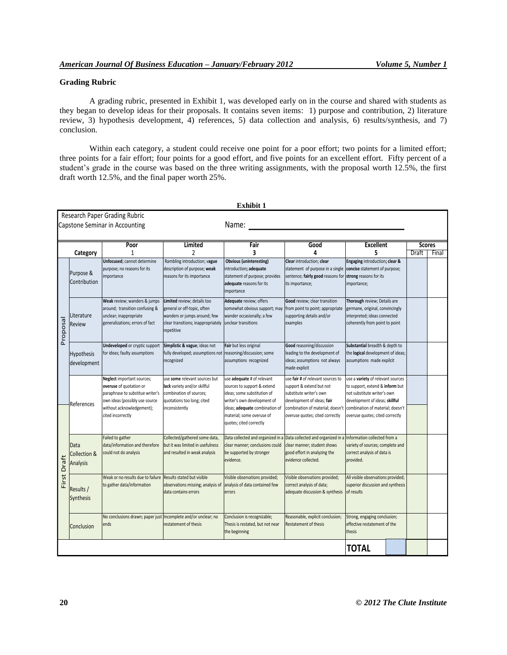# **Grading Rubric**

A grading rubric, presented in Exhibit 1, was developed early on in the course and shared with students as they began to develop ideas for their proposals. It contains seven items: 1) purpose and contribution, 2) literature review, 3) hypothesis development, 4) references, 5) data collection and analysis, 6) results/synthesis, and 7) conclusion.

Within each category, a student could receive one point for a poor effort; two points for a limited effort; three points for a fair effort; four points for a good effort, and five points for an excellent effort. Fifty percent of a student's grade in the course was based on the three writing assignments, with the proposal worth 12.5%, the first draft worth 12.5%, and the final paper worth 25%.

|                                                                          |                                             |                                                                                                                                                                               |                                                                                                                                                | EXHIDIL 1                                                                                                                                                                                                         |                                                                                                                                                                                               |                                                                                                                                                                                                              |                               |       |
|--------------------------------------------------------------------------|---------------------------------------------|-------------------------------------------------------------------------------------------------------------------------------------------------------------------------------|------------------------------------------------------------------------------------------------------------------------------------------------|-------------------------------------------------------------------------------------------------------------------------------------------------------------------------------------------------------------------|-----------------------------------------------------------------------------------------------------------------------------------------------------------------------------------------------|--------------------------------------------------------------------------------------------------------------------------------------------------------------------------------------------------------------|-------------------------------|-------|
| Research Paper Grading Rubric<br>Name:<br>Capstone Seminar in Accounting |                                             |                                                                                                                                                                               |                                                                                                                                                |                                                                                                                                                                                                                   |                                                                                                                                                                                               |                                                                                                                                                                                                              |                               |       |
|                                                                          | Category                                    | Poor<br>1                                                                                                                                                                     | <b>Limited</b><br>2                                                                                                                            | Fair<br>3                                                                                                                                                                                                         | Good<br>4                                                                                                                                                                                     | <b>Excellent</b><br>5                                                                                                                                                                                        | <b>Scores</b><br><b>Draft</b> | Final |
| Proposal                                                                 | Purpose &<br>Contribution                   | Unfocused; cannot determine<br>purpose; no reasons for its<br>importance                                                                                                      | Rambling introduction; vague<br>description of purpose; weak<br>reasons for its importance                                                     | <b>Obvious (uninteresting)</b><br>introduction; adequate<br>statement of purpose; provides<br>adequate reasons for its<br>importance                                                                              | Clear introduction; clear<br>statement of purpose in a single<br>sentence; fairly good reasons for strong reasons for its<br>its importance;                                                  | Engaging introduction; clear &<br>concise statement of purpose;<br>importance;                                                                                                                               |                               |       |
|                                                                          | Literature<br>Review                        | Weak review; wanders & jumps<br>around; transition confusing &<br>unclear; inappropriate<br>generalizations; errors of fact                                                   | Limited review; details too<br>general or off-topic, often<br>wanders or jumps around; few<br>clear transitions; inappropriately<br>repetitive | Adequate review; offers<br>somewhat obvious support; may<br>wander occasionally; a few<br>unclear transitions                                                                                                     | Good review; clear transition<br>from point to point; appropriate<br>supporting details and/or<br>examples                                                                                    | Thorough review; Details are<br>germane, original, convincingly<br>interpreted; ideas connected<br>coherently from point to point                                                                            |                               |       |
|                                                                          | Hypothesis<br>development                   | <b>Undeveloped</b> or cryptic support<br>for ideas; faulty assumptions                                                                                                        | Simplistic & vague; ideas not<br>fully developed; assumptions not reasoning/discussion; some<br>ecognized                                      | Fair but less original<br>assumptions recognized                                                                                                                                                                  | Good reasoning/discussion<br>leading to the development of<br>ideas; assumptions not always<br>made explicit                                                                                  | Substantial breadth & depth to<br>the logical development of ideas;<br>assumptions made expilcit                                                                                                             |                               |       |
|                                                                          | References                                  | Neglect important sources;<br>overuse of quotation or<br>paraphrase to substitue writer's<br>own ideas (possibly use source<br>without acknowledgement);<br>cited incorrectly | use some relevant sources but<br>lack variety and/or skillful<br>combination of sources;<br>quotations too long; cited<br>inconsistently       | use adequate # of relevant<br>sources to support & extend<br>ideas; some substitution of<br>writer's own development of<br>ideas; adequate combination of<br>material; some overuse of<br>quotes; cited correctly | use fair # of relevant sources to<br>support & extend but not<br>substitute writer's own<br>development of ideas; fair<br>combination of material; doesn't<br>overuse quotes; cited correctly | use a variety of relevant sources<br>to support, extend & inform but<br>not substitute writer's own<br>development of ideas; skillful<br>combination of material; doesn't<br>overuse quotes; cited correctly |                               |       |
| First Draft                                                              | Data<br><b>Collection &amp;</b><br>Analysis | Failed to gather<br>data/information and therefore<br>could not do analysis                                                                                                   | Collected/gathered some data,<br>but it was limited in usefulness<br>and resulted in weak analysis                                             | clear manner; conclusions could<br>be supported by stronger<br>evidence.                                                                                                                                          | Data collected and organized in a Data collected and organized in a Information collected from a<br>clear manner; student shows<br>good effort in analyzing the<br>evidence collected.        | variety of sources; complete and<br>correct analysis of data is<br>provided.                                                                                                                                 |                               |       |
|                                                                          | Results /<br>Synthesis                      | Weak or no results due to failure<br>to gather data/information                                                                                                               | Results stated but visible<br>observations missing; analysis of<br>data contains errors                                                        | Visible observations provided;<br>analysis of data contained few<br>errors                                                                                                                                        | Visible observations provided;<br>correct analysis of data;<br>adequate discussion & synthesis                                                                                                | All visible observations provided;<br>superior discussion and synthesis<br>of results                                                                                                                        |                               |       |
|                                                                          | Conclusion                                  | No conclusions drawn; paper just Incomplete and/or unclear; no<br>ends                                                                                                        | restatement of thesis                                                                                                                          | Conclusion is recognizable;<br>Thesis is restated, but not near<br>the beginning                                                                                                                                  | Reasonable, explicit conclusion;<br>Restatement of thesis                                                                                                                                     | Strong, engaging conclusion;<br>effective restatement of the<br>thesis                                                                                                                                       |                               |       |
|                                                                          |                                             |                                                                                                                                                                               |                                                                                                                                                |                                                                                                                                                                                                                   |                                                                                                                                                                                               | <b>TOTAL</b>                                                                                                                                                                                                 |                               |       |

**Exhibit 1**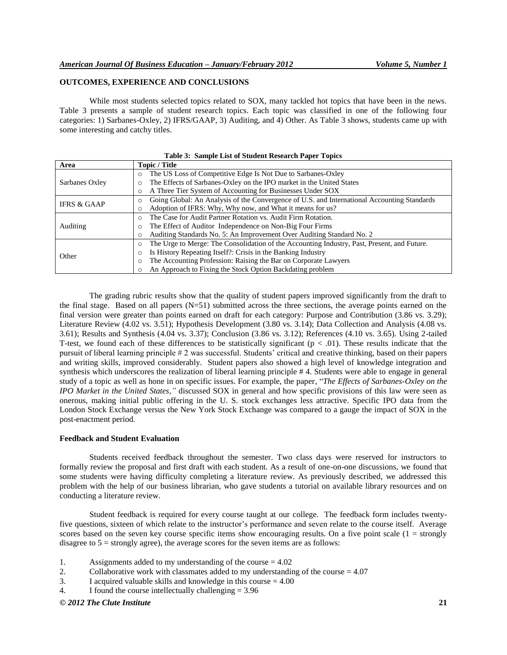# **OUTCOMES, EXPERIENCE AND CONCLUSIONS**

While most students selected topics related to SOX, many tackled hot topics that have been in the news. Table 3 presents a sample of student research topics. Each topic was classified in one of the following four categories: 1) Sarbanes-Oxley, 2) IFRS/GAAP, 3) Auditing, and 4) Other. As Table 3 shows, students came up with some interesting and catchy titles.

| Area                   | Topic / Title                                                                                          |
|------------------------|--------------------------------------------------------------------------------------------------------|
|                        | The US Loss of Competitive Edge Is Not Due to Sarbanes-Oxley<br>$\circ$                                |
| Sarbanes Oxley         | The Effects of Sarbanes-Oxley on the IPO market in the United States                                   |
|                        | A Three Tier System of Accounting for Businesses Under SOX                                             |
| <b>IFRS &amp; GAAP</b> | Going Global: An Analysis of the Convergence of U.S. and International Accounting Standards<br>$\circ$ |
|                        | Adoption of IFRS: Why, Why now, and What it means for us?                                              |
|                        | The Case for Audit Partner Rotation vs. Audit Firm Rotation.                                           |
| Auditing               | The Effect of Auditor Independence on Non-Big Four Firms                                               |
|                        | Auditing Standards No. 5: An Improvement Over Auditing Standard No. 2                                  |
|                        | The Urge to Merge: The Consolidation of the Accounting Industry, Past, Present, and Future.            |
| Other                  | Is History Repeating Itself?: Crisis in the Banking Industry                                           |
|                        | The Accounting Profession: Raising the Bar on Corporate Lawyers                                        |
|                        | An Approach to Fixing the Stock Option Backdating problem                                              |

**Table 3: Sample List of Student Research Paper Topics**

The grading rubric results show that the quality of student papers improved significantly from the draft to the final stage. Based on all papers  $(N=51)$  submitted across the three sections, the average points earned on the final version were greater than points earned on draft for each category: Purpose and Contribution (3.86 vs. 3.29); Literature Review (4.02 vs. 3.51); Hypothesis Development (3.80 vs. 3.14); Data Collection and Analysis (4.08 vs. 3.61); Results and Synthesis (4.04 vs. 3.37); Conclusion (3.86 vs. 3.12); References (4.10 vs. 3.65). Using 2-tailed T-test, we found each of these differences to be statistically significant  $(p < .01)$ . These results indicate that the pursuit of liberal learning principle # 2 was successful. Students' critical and creative thinking, based on their papers and writing skills, improved considerably. Student papers also showed a high level of knowledge integration and synthesis which underscores the realization of liberal learning principle # 4. Students were able to engage in general study of a topic as well as hone in on specific issues. For example, the paper, "The Effects of Sarbanes-Oxley on the *IPO Market in the United States,"* discussed SOX in general and how specific provisions of this law were seen as onerous, making initial public offering in the U. S. stock exchanges less attractive. Specific IPO data from the London Stock Exchange versus the New York Stock Exchange was compared to a gauge the impact of SOX in the post-enactment period.

#### **Feedback and Student Evaluation**

Students received feedback throughout the semester. Two class days were reserved for instructors to formally review the proposal and first draft with each student. As a result of one-on-one discussions, we found that some students were having difficulty completing a literature review. As previously described, we addressed this problem with the help of our business librarian, who gave students a tutorial on available library resources and on conducting a literature review.

Student feedback is required for every course taught at our college. The feedback form includes twentyfive questions, sixteen of which relate to the instructor's performance and seven relate to the course itself. Average scores based on the seven key course specific items show encouraging results. On a five point scale  $(1 = \text{strongly})$ disagree to  $5 =$  strongly agree), the average scores for the seven items are as follows:

- 1. Assignments added to my understanding of the course = 4.02
- 2. Collaborative work with classmates added to my understanding of the course = 4.07
- 3. I acquired valuable skills and knowledge in this course = 4.00
- 4. I found the course intellectually challenging = 3.96

*© 2012 The Clute Institute* **21**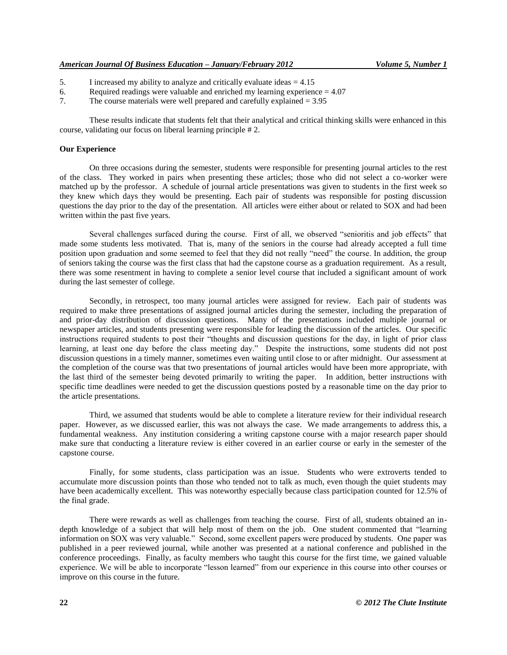- 5. I increased my ability to analyze and critically evaluate ideas = 4.15
- 6. Required readings were valuable and enriched my learning experience  $= 4.07$
- 7. The course materials were well prepared and carefully explained = 3.95

These results indicate that students felt that their analytical and critical thinking skills were enhanced in this course, validating our focus on liberal learning principle # 2.

## **Our Experience**

On three occasions during the semester, students were responsible for presenting journal articles to the rest of the class. They worked in pairs when presenting these articles; those who did not select a co-worker were matched up by the professor. A schedule of journal article presentations was given to students in the first week so they knew which days they would be presenting. Each pair of students was responsible for posting discussion questions the day prior to the day of the presentation. All articles were either about or related to SOX and had been written within the past five years.

Several challenges surfaced during the course. First of all, we observed "senioritis and job effects" that made some students less motivated. That is, many of the seniors in the course had already accepted a full time position upon graduation and some seemed to feel that they did not really "need" the course. In addition, the group of seniors taking the course was the first class that had the capstone course as a graduation requirement. As a result, there was some resentment in having to complete a senior level course that included a significant amount of work during the last semester of college.

Secondly, in retrospect, too many journal articles were assigned for review. Each pair of students was required to make three presentations of assigned journal articles during the semester, including the preparation of and prior-day distribution of discussion questions. Many of the presentations included multiple journal or newspaper articles, and students presenting were responsible for leading the discussion of the articles. Our specific instructions required students to post their "thoughts and discussion questions for the day, in light of prior class learning, at least one day before the class meeting day." Despite the instructions, some students did not post discussion questions in a timely manner, sometimes even waiting until close to or after midnight. Our assessment at the completion of the course was that two presentations of journal articles would have been more appropriate, with the last third of the semester being devoted primarily to writing the paper. In addition, better instructions with specific time deadlines were needed to get the discussion questions posted by a reasonable time on the day prior to the article presentations.

Third, we assumed that students would be able to complete a literature review for their individual research paper. However, as we discussed earlier, this was not always the case. We made arrangements to address this, a fundamental weakness. Any institution considering a writing capstone course with a major research paper should make sure that conducting a literature review is either covered in an earlier course or early in the semester of the capstone course.

Finally, for some students, class participation was an issue. Students who were extroverts tended to accumulate more discussion points than those who tended not to talk as much, even though the quiet students may have been academically excellent. This was noteworthy especially because class participation counted for 12.5% of the final grade.

There were rewards as well as challenges from teaching the course. First of all, students obtained an indepth knowledge of a subject that will help most of them on the job. One student commented that "learning information on SOX was very valuable." Second, some excellent papers were produced by students. One paper was published in a peer reviewed journal, while another was presented at a national conference and published in the conference proceedings. Finally, as faculty members who taught this course for the first time, we gained valuable experience. We will be able to incorporate "lesson learned" from our experience in this course into other courses or improve on this course in the future.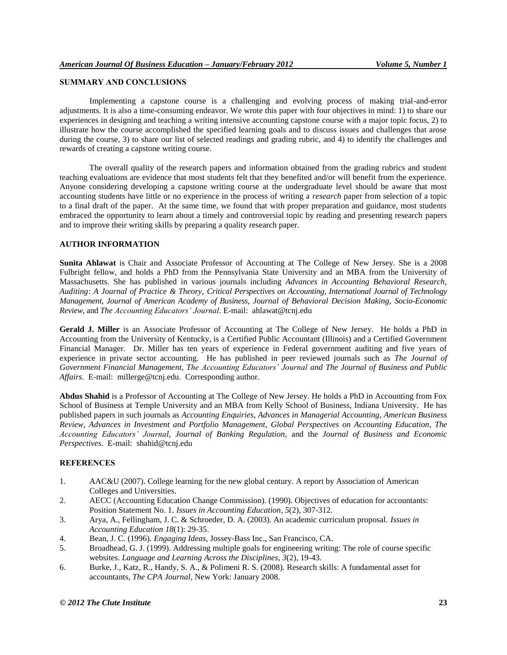## **SUMMARY AND CONCLUSIONS**

Implementing a capstone course is a challenging and evolving process of making trial-and-error adjustments. It is also a time-consuming endeavor. We wrote this paper with four objectives in mind: 1) to share our experiences in designing and teaching a writing intensive accounting capstone course with a major topic focus, 2) to illustrate how the course accomplished the specified learning goals and to discuss issues and challenges that arose during the course, 3) to share our list of selected readings and grading rubric, and 4) to identify the challenges and rewards of creating a capstone writing course.

The overall quality of the research papers and information obtained from the grading rubrics and student teaching evaluations are evidence that most students felt that they benefited and/or will benefit from the experience. Anyone considering developing a capstone writing course at the undergraduate level should be aware that most accounting students have little or no experience in the process of writing a *research* paper from selection of a topic to a final draft of the paper. At the same time, we found that with proper preparation and guidance, most students embraced the opportunity to learn about a timely and controversial topic by reading and presenting research papers and to improve their writing skills by preparing a quality research paper.

## **AUTHOR INFORMATION**

**Sunita Ahlawat** is Chair and Associate Professor of Accounting at The College of New Jersey. She is a 2008 Fulbright fellow, and holds a PhD from the Pennsylvania State University and an MBA from the University of Massachusetts. She has published in various journals including *Advances in Accounting Behavioral Research, Auditing: A Journal of Practice & Theory, Critical Perspectives on Accounting, International Journal of Technology Management, Journal of American Academy of Business, Journal of Behavioral Decision Making, Socio-Economic Review,* and *The Accounting Educators' Journal.* E-mail: ahlawat@tcnj.edu

**Gerald J. Miller** is an Associate Professor of Accounting at The College of New Jersey. He holds a PhD in Accounting from the University of Kentucky, is a Certified Public Accountant (Illinois) and a Certified Government Financial Manager. Dr. Miller has ten years of experience in Federal government auditing and five years of experience in private sector accounting. He has published in peer reviewed journals such as *The Journal of Government Financial Management, The Accounting Educators' Journal and The Journal of Business and Public Affairs.* E-mail: millerge@tcnj.edu. Corresponding author.

**Abdus Shahid** is a Professor of Accounting at The College of New Jersey. He holds a PhD in Accounting from Fox School of Business at Temple University and an MBA from Kelly School of Business, Indiana University. He has published papers in such journals as *Accounting Enquiries*, *Advances in Managerial Accounting*, *American Business Review*, *Advances in Investment and Portfolio Management*, *Global Perspectives on Accounting Education*, *The Accounting Educators' Journal*, *Journal of Banking Regulation*, and the *Journal of Business and Economic Perspectives*. E-mail: shahid@tcnj.edu

### **REFERENCES**

- 1. AAC&U (2007). College learning for the new global century. A report by Association of American Colleges and Universities.
- 2. AECC (Accounting Education Change Commission). (1990). Objectives of education for accountants: Position Statement No. 1. *Issues in Accounting Education*, *5*(2), 307-312.
- 3. Arya, A., Fellingham, J. C. & Schroeder, D. A. (2003). An academic curriculum proposal. *Issues in Accounting Education 18*(1): 29-35.
- 4. Bean, J. C. (1996). *Engaging Ideas*, Jossey-Bass Inc., San Francisco, CA.
- 5. Broadhead, G. J. (1999). Addressing multiple goals for engineering writing: The role of course specific websites. *Language and Learning Across the Disciplines*, *3*(2), 19-43.
- 6. Burke, J., Katz, R., Handy, S. A., & Polimeni R. S. (2008). Research skills: A fundamental asset for accountants, *The CPA Journal*, New York: January 2008.